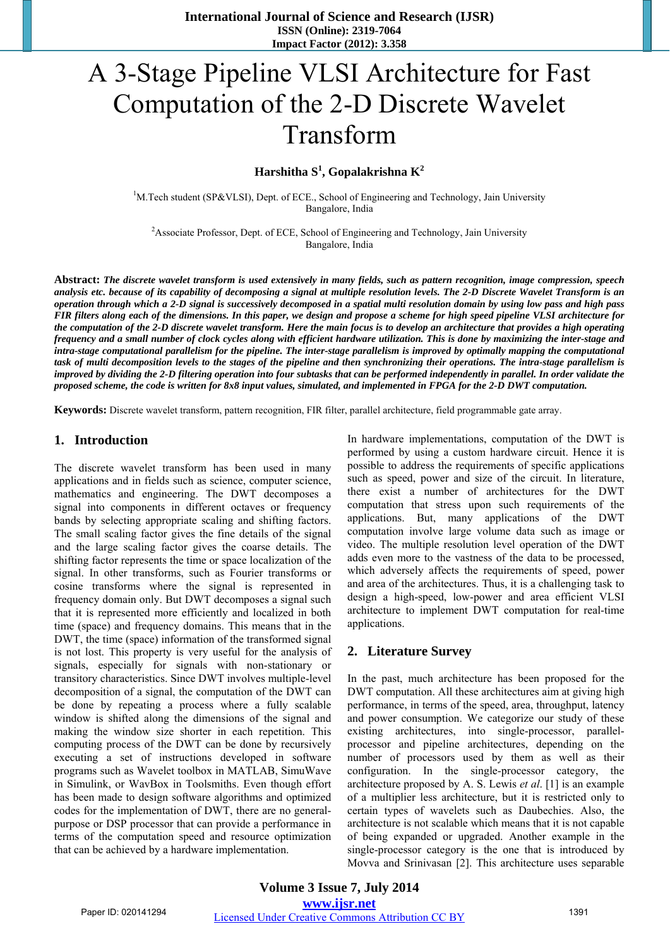# A 3-Stage Pipeline VLSI Architecture for Fast Computation of the 2-D Discrete Wavelet Transform

**Harshitha S<sup>1</sup> , Gopalakrishna K2**

<sup>1</sup>M.Tech student (SP&VLSI), Dept. of ECE., School of Engineering and Technology, Jain University Bangalore, India

<sup>2</sup> Associate Professor, Dept. of ECE, School of Engineering and Technology, Jain University Bangalore, India

**Abstract:** *The discrete wavelet transform is used extensively in many fields, such as pattern recognition, image compression, speech analysis etc. because of its capability of decomposing a signal at multiple resolution levels. The 2-D Discrete Wavelet Transform is an operation through which a 2-D signal is successively decomposed in a spatial multi resolution domain by using low pass and high pass FIR filters along each of the dimensions. In this paper, we design and propose a scheme for high speed pipeline VLSI architecture for the computation of the 2-D discrete wavelet transform. Here the main focus is to develop an architecture that provides a high operating frequency and a small number of clock cycles along with efficient hardware utilization. This is done by maximizing the inter-stage and intra-stage computational parallelism for the pipeline. The inter-stage parallelism is improved by optimally mapping the computational task of multi decomposition levels to the stages of the pipeline and then synchronizing their operations. The intra-stage parallelism is improved by dividing the 2-D filtering operation into four subtasks that can be performed independently in parallel. In order validate the proposed scheme, the code is written for 8x8 input values, simulated, and implemented in FPGA for the 2-D DWT computation.* 

**Keywords:** Discrete wavelet transform, pattern recognition, FIR filter, parallel architecture, field programmable gate array.

### **1. Introduction**

The discrete wavelet transform has been used in many applications and in fields such as science, computer science, mathematics and engineering. The DWT decomposes a signal into components in different octaves or frequency bands by selecting appropriate scaling and shifting factors. The small scaling factor gives the fine details of the signal and the large scaling factor gives the coarse details. The shifting factor represents the time or space localization of the signal. In other transforms, such as Fourier transforms or cosine transforms where the signal is represented in frequency domain only. But DWT decomposes a signal such that it is represented more efficiently and localized in both time (space) and frequency domains. This means that in the DWT, the time (space) information of the transformed signal is not lost. This property is very useful for the analysis of signals, especially for signals with non-stationary or transitory characteristics. Since DWT involves multiple-level decomposition of a signal, the computation of the DWT can be done by repeating a process where a fully scalable window is shifted along the dimensions of the signal and making the window size shorter in each repetition. This computing process of the DWT can be done by recursively executing a set of instructions developed in software programs such as Wavelet toolbox in MATLAB, SimuWave in Simulink, or WavBox in Toolsmiths. Even though effort has been made to design software algorithms and optimized codes for the implementation of DWT, there are no generalpurpose or DSP processor that can provide a performance in terms of the computation speed and resource optimization that can be achieved by a hardware implementation.

In hardware implementations, computation of the DWT is performed by using a custom hardware circuit. Hence it is possible to address the requirements of specific applications such as speed, power and size of the circuit. In literature, there exist a number of architectures for the DWT computation that stress upon such requirements of the applications. But, many applications of the DWT computation involve large volume data such as image or video. The multiple resolution level operation of the DWT adds even more to the vastness of the data to be processed, which adversely affects the requirements of speed, power and area of the architectures. Thus, it is a challenging task to design a high-speed, low-power and area efficient VLSI architecture to implement DWT computation for real-time applications.

### **2. Literature Survey**

In the past, much architecture has been proposed for the DWT computation. All these architectures aim at giving high performance, in terms of the speed, area, throughput, latency and power consumption. We categorize our study of these existing architectures, into single-processor, parallelprocessor and pipeline architectures, depending on the number of processors used by them as well as their configuration. In the single-processor category, the architecture proposed by A. S. Lewis *et al*. [1] is an example of a multiplier less architecture, but it is restricted only to certain types of wavelets such as Daubechies. Also, the architecture is not scalable which means that it is not capable of being expanded or upgraded. Another example in the single-processor category is the one that is introduced by Movva and Srinivasan [2]. This architecture uses separable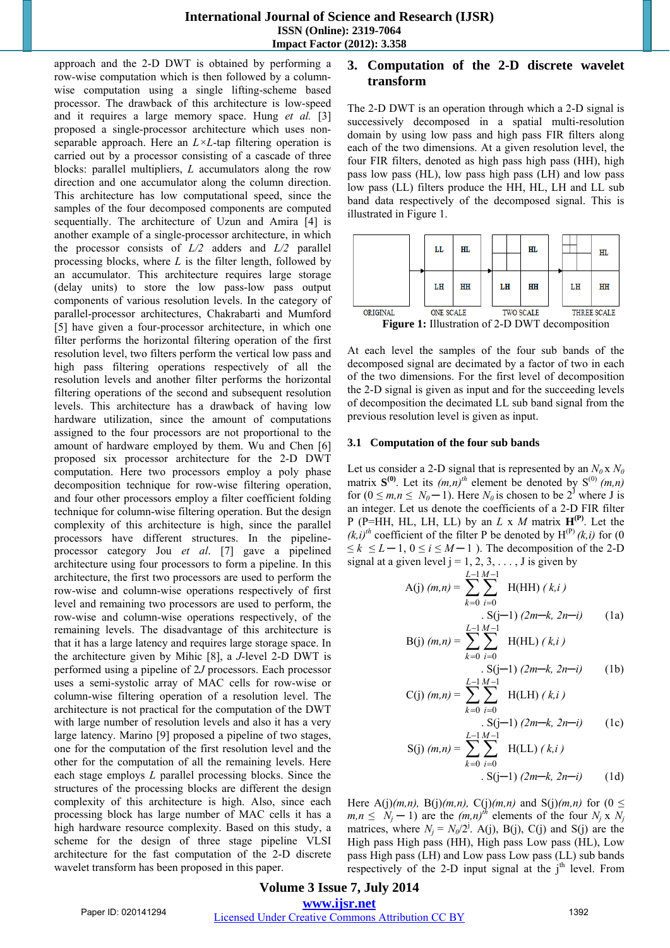approach and the 2-D DWT is obtained by performing a row-wise computation which is then followed by a columnwise computation using a single lifting-scheme based processor. The drawback of this architecture is low-speed and it requires a large memory space. Hung *et al.* [3] proposed a single-processor architecture which uses nonseparable approach. Here an *L×L*-tap filtering operation is carried out by a processor consisting of a cascade of three blocks: parallel multipliers, *L* accumulators along the row direction and one accumulator along the column direction. This architecture has low computational speed, since the samples of the four decomposed components are computed sequentially. The architecture of Uzun and Amira [4] is another example of a single-processor architecture, in which the processor consists of *L/2* adders and *L/2* parallel processing blocks, where *L* is the filter length, followed by an accumulator. This architecture requires large storage (delay units) to store the low pass-low pass output components of various resolution levels. In the category of parallel-processor architectures, Chakrabarti and Mumford [5] have given a four-processor architecture, in which one filter performs the horizontal filtering operation of the first resolution level, two filters perform the vertical low pass and high pass filtering operations respectively of all the resolution levels and another filter performs the horizontal filtering operations of the second and subsequent resolution levels. This architecture has a drawback of having low hardware utilization, since the amount of computations assigned to the four processors are not proportional to the amount of hardware employed by them. Wu and Chen [6] proposed six processor architecture for the 2-D DWT computation. Here two processors employ a poly phase decomposition technique for row-wise filtering operation, and four other processors employ a filter coefficient folding technique for column-wise filtering operation. But the design complexity of this architecture is high, since the parallel processors have different structures. In the pipelineprocessor category Jou *et al*. [7] gave a pipelined architecture using four processors to form a pipeline. In this architecture, the first two processors are used to perform the row-wise and column-wise operations respectively of first level and remaining two processors are used to perform, the row-wise and column-wise operations respectively, of the remaining levels. The disadvantage of this architecture is that it has a large latency and requires large storage space. In the architecture given by Mihic [8], a *J*-level 2-D DWT is performed using a pipeline of 2*J* processors. Each processor uses a semi-systolic array of MAC cells for row-wise or column-wise filtering operation of a resolution level. The architecture is not practical for the computation of the DWT with large number of resolution levels and also it has a very large latency. Marino [9] proposed a pipeline of two stages, one for the computation of the first resolution level and the other for the computation of all the remaining levels. Here each stage employs *L* parallel processing blocks. Since the structures of the processing blocks are different the design complexity of this architecture is high. Also, since each processing block has large number of MAC cells it has a high hardware resource complexity. Based on this study, a scheme for the design of three stage pipeline VLSI architecture for the fast computation of the 2-D discrete wavelet transform has been proposed in this paper.

# **3. Computation of the 2-D discrete wavelet transform**

The 2-D DWT is an operation through which a 2-D signal is successively decomposed in a spatial multi-resolution domain by using low pass and high pass FIR filters along each of the two dimensions. At a given resolution level, the four FIR filters, denoted as high pass high pass (HH), high pass low pass (HL), low pass high pass (LH) and low pass low pass (LL) filters produce the HH, HL, LH and LL sub band data respectively of the decomposed signal. This is illustrated in Figure 1.



**Figure 1:** Illustration of 2-D DWT decomposition

At each level the samples of the four sub bands of the decomposed signal are decimated by a factor of two in each of the two dimensions. For the first level of decomposition the 2-D signal is given as input and for the succeeding levels of decomposition the decimated LL sub band signal from the previous resolution level is given as input.

### **3.1 Computation of the four sub bands**

Let us consider a 2-D signal that is represented by an  $N_0 \times N_0$ matrix  $S^{(0)}$ . Let its  $(m,n)^{th}$  element be denoted by  $S^{(0)}(m,n)$ for  $(0 \le m, n \le N_0 - 1)$ . Here  $N_0$  is chosen to be  $2^{\mathsf{J}}$  where J is an integer. Let us denote the coefficients of a 2-D FIR filter P (P=HH, HL, LH, LL) by an  $L \times M$  matrix  $H^{(P)}$ . Let the  $(k,i)$ <sup>th</sup> coefficient of the filter P be denoted by H<sup>(P)</sup>  $(k,i)$  for (0)  $\leq k \leq L-1, 0 \leq i \leq M-1$ ). The decomposition of the 2-D signal at a given level  $j = 1, 2, 3, \ldots$ , J is given by

$$
A(j) (m,n) = \sum_{k=0}^{L-1} \sum_{i=0}^{M-1} H(HH) (k,i)
$$
  
. S(j-1) (2m-k, 2n-i) (1a)  

$$
\frac{L-1 M-1}{2}
$$

B(j) 
$$
(m,n) = \sum_{k=0}^{L-1} \sum_{i=0}^{M-1}
$$
 H(HL)  $(k,i)$   
S(i-1)  $(2m-k, 2n-i)$  (1b)

$$
S(j-1) (2m-k, 2n-i)
$$
 (1b)  
C(j)  $(m,n) = \sum_{i=1}^{L-1} \sum_{j=1}^{M-1} H(LH) (k,i)$ 

C(j) 
$$
(m,n) = \sum_{k=0} \sum_{i=0}
$$
 H(LH)  $(k,i)$   
. S(j-1)  $(2m-k, 2n-i)$  (1c)

$$
S(j) (m,n) = \sum_{k=0}^{L-1} \sum_{i=0}^{M-1} H(LL) (k,i)
$$
  
. 
$$
S(j-1) (2m-k, 2n-i)
$$
 (1d)

Here A(j) $(m,n)$ , B(j) $(m,n)$ , C(j) $(m,n)$  and S(j) $(m,n)$  for (0  $\leq$  $m, n \leq N_i - 1$  are the  $(m, n)^{th}$  elements of the four  $N_i \times N_i$ matrices, where  $N_j = N_0/2^j$ . A(j), B(j), C(j) and S(j) are the High pass High pass (HH), High pass Low pass (HL), Low pass High pass (LH) and Low pass Low pass (LL) sub bands respectively of the 2-D input signal at the  $i<sup>th</sup>$  level. From

## **Volume 3 Issue 7, July 2014 www.ijsr.net**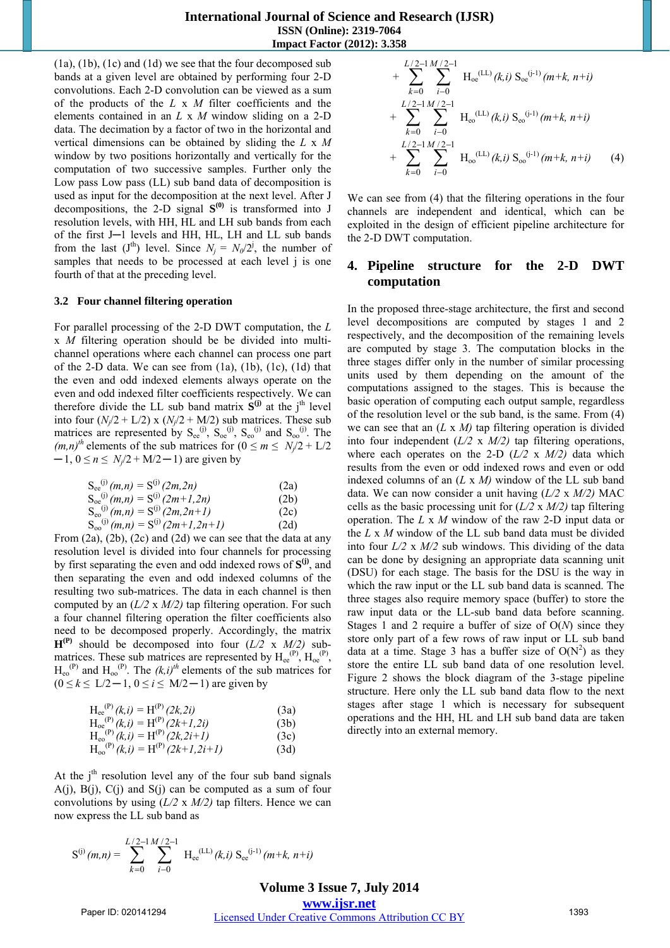(1a), (1b), (1c) and (1d) we see that the four decomposed sub bands at a given level are obtained by performing four 2-D convolutions. Each 2-D convolution can be viewed as a sum of the products of the *L* x *M* filter coefficients and the elements contained in an *L* x *M* window sliding on a 2-D data. The decimation by a factor of two in the horizontal and vertical dimensions can be obtained by sliding the *L* x *M* window by two positions horizontally and vertically for the computation of two successive samples. Further only the Low pass Low pass (LL) sub band data of decomposition is used as input for the decomposition at the next level. After J decompositions, the 2-D signal  $S^{(0)}$  is transformed into J resolution levels, with HH, HL and LH sub bands from each of the first J─1 levels and HH, HL, LH and LL sub bands from the last  $(J<sup>th</sup>)$  level. Since  $N_j = N_0/2^j$ , the number of samples that needs to be processed at each level *j* is one fourth of that at the preceding level.

### **3.2 Four channel filtering operation**

For parallel processing of the 2-D DWT computation, the *L*  x *M* filtering operation should be be divided into multichannel operations where each channel can process one part of the 2-D data. We can see from  $(1a)$ ,  $(1b)$ ,  $(1c)$ ,  $(1d)$  that the even and odd indexed elements always operate on the even and odd indexed filter coefficients respectively. We can therefore divide the LL sub band matrix  $\hat{S}^{(j)}$  at the j<sup>th</sup> level into four  $(N_i/2 + L/2)$  x  $(N_i/2 + M/2)$  sub matrices. These sub matrices are represented by  $S_{ee}^{(j)}$ ,  $S_{oe}^{(j)}$ ,  $S_{eo}^{(j)}$  and  $S_{oo}^{(j)}$ . The  $(m,n)^{th}$  elements of the sub matrices for  $(0 \le m \le N/2 + L/2)$  $-1$ ,  $0 \le n \le N_i/2 + M/2 - 1$  are given by

$$
S_{ee}^{(j)}(m,n) = S^{(j)}(2m,2n)
$$
\n
$$
S_{ee}^{(j)}(m,n) = S^{(j)}(2m+1,2n)
$$
\n
$$
S_{ee}^{(j)}(m,n) = S^{(j)}(2m,2n+1)
$$
\n
$$
S_{\infty}^{(j)}(m,n) = S^{(j)}(2m+1,2n+1)
$$
\n(2d)

From (2a), (2b), (2c) and (2d) we can see that the data at any resolution level is divided into four channels for processing by first separating the even and odd indexed rows of  $S^{(j)}$ , and then separating the even and odd indexed columns of the resulting two sub-matrices. The data in each channel is then computed by an (*L/2* x *M/2)* tap filtering operation. For such a four channel filtering operation the filter coefficients also need to be decomposed properly. Accordingly, the matrix  $H^{(P)}$  should be decomposed into four  $(L/2 \times M/2)$  submatrices. These sub matrices are represented by  $H_{ee}^{(P)}$ ,  $H_{oe}^{(P)}$ ,  $H_{\rm ee}^{(P)}$  and  $H_{\rm oo}^{(P)}$ . The  $(k,i)^{th}$  elements of the sub matrices for  $(0 \le k \le L/2 - 1, 0 \le i \le M/2 - 1)$  are given by

Hee (P) *(k,i) =* H(P) *(2k,2i)* (3a) Hoe(P) *(k,i) =* H(P) *(2k+1,2i)* (3b) Heo(P) *(k,i) =* H(P) *(2k,2i+1)* (3c) Hoo(P) *(k,i) =* H(P) *(2k+1,2i+1)* (3d)

At the  $j<sup>th</sup>$  resolution level any of the four sub band signals  $A(j)$ ,  $B(j)$ ,  $C(j)$  and  $S(j)$  can be computed as a sum of four convolutions by using (*L/2* x *M/2)* tap filters. Hence we can now express the LL sub band as

$$
S^{(j)}(m,n) = \sum_{k=0}^{L/2-1} \sum_{i=0}^{M/2-1} H_{ee}^{(LL)}(k,i) S_{ee}^{(j-1)}(m+k, n+i)
$$

+ 
$$
\sum_{k=0}^{L/2-1} \sum_{i=0}^{M/2-1} \mathbf{H}_{oe}^{(LL)}(k,i) \mathbf{S}_{oe}^{(j-1)}(m+k, n+i)
$$
  
+ 
$$
\sum_{k=0}^{L/2-1} \sum_{i=0}^{M/2-1} \mathbf{H}_{eo}^{(LL)}(k,i) \mathbf{S}_{eo}^{(j-1)}(m+k, n+i)
$$
  
+ 
$$
\sum_{k=0}^{L/2-1} \sum_{i=0}^{M/2-1} \mathbf{H}_{oo}^{(LL)}(k,i) \mathbf{S}_{oo}^{(j-1)}(m+k, n+i)
$$
(4)

We can see from (4) that the filtering operations in the four channels are independent and identical, which can be exploited in the design of efficient pipeline architecture for the 2-D DWT computation.

# **4. Pipeline structure for the 2-D DWT computation**

In the proposed three-stage architecture, the first and second level decompositions are computed by stages 1 and 2 respectively, and the decomposition of the remaining levels are computed by stage 3. The computation blocks in the three stages differ only in the number of similar processing units used by them depending on the amount of the computations assigned to the stages. This is because the basic operation of computing each output sample, regardless of the resolution level or the sub band, is the same. From (4) we can see that an (*L* x *M)* tap filtering operation is divided into four independent (*L/2* x *M/2)* tap filtering operations, where each operates on the 2-D  $(L/2 \times M/2)$  data which results from the even or odd indexed rows and even or odd indexed columns of an (*L* x *M)* window of the LL sub band data. We can now consider a unit having (*L/2* x *M/2)* MAC cells as the basic processing unit for (*L/2* x *M/2)* tap filtering operation. The *L* x *M* window of the raw 2-D input data or the *L* x *M* window of the LL sub band data must be divided into four *L/2* x *M/2* sub windows. This dividing of the data can be done by designing an appropriate data scanning unit (DSU) for each stage. The basis for the DSU is the way in which the raw input or the LL sub band data is scanned. The three stages also require memory space (buffer) to store the raw input data or the LL-sub band data before scanning. Stages 1 and 2 require a buffer of size of O(*N*) since they store only part of a few rows of raw input or LL sub band data at a time. Stage 3 has a buffer size of  $O(N^2)$  as they store the entire LL sub band data of one resolution level. Figure 2 shows the block diagram of the 3-stage pipeline structure. Here only the LL sub band data flow to the next stages after stage 1 which is necessary for subsequent operations and the HH, HL and LH sub band data are taken directly into an external memory.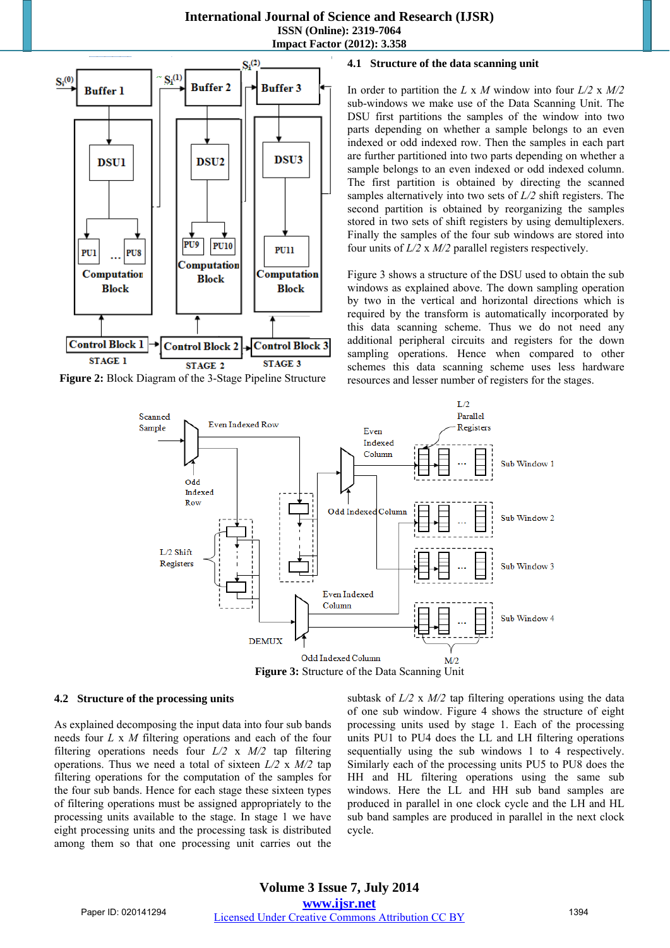### **International Journal of Science and Research (IJSR) ISSN (Online): 2319-7064**

**Impact Factor (2012): 3.358** 



**Figure 2:** Block Diagram of the 3-Stage Pipeline Structure

### **4.1 Structure of the data scanning unit**

In order to partition the *L* x *M* window into four *L/2* x *M/2*  sub-windows we make use of the Data Scanning Unit. The DSU first partitions the samples of the window into two parts depending on whether a sample belongs to an even indexed or odd indexed row. Then the samples in each part are further partitioned into two parts depending on whether a sample belongs to an even indexed or odd indexed column. The first partition is obtained by directing the scanned samples alternatively into two sets of *L/2* shift registers. The second partition is obtained by reorganizing the samples stored in two sets of shift registers by using demultiplexers. Finally the samples of the four sub windows are stored into four units of *L/2* x *M/2* parallel registers respectively.

Figure 3 shows a structure of the DSU used to obtain the sub windows as explained above. The down sampling operation by two in the vertical and horizontal directions which is required by the transform is automatically incorporated by this data scanning scheme. Thus we do not need any additional peripheral circuits and registers for the down sampling operations. Hence when compared to other schemes this data scanning scheme uses less hardware resources and lesser number of registers for the stages.



### **4.2 Structure of the processing units**

As explained decomposing the input data into four sub bands needs four *L* x *M* filtering operations and each of the four filtering operations needs four *L/2* x *M/2* tap filtering operations. Thus we need a total of sixteen *L/2* x *M/2* tap filtering operations for the computation of the samples for the four sub bands. Hence for each stage these sixteen types of filtering operations must be assigned appropriately to the processing units available to the stage. In stage 1 we have eight processing units and the processing task is distributed among them so that one processing unit carries out the subtask of *L/2* x *M/2* tap filtering operations using the data of one sub window. Figure 4 shows the structure of eight processing units used by stage 1. Each of the processing units PU1 to PU4 does the LL and LH filtering operations sequentially using the sub windows 1 to 4 respectively. Similarly each of the processing units PU5 to PU8 does the HH and HL filtering operations using the same sub windows. Here the LL and HH sub band samples are produced in parallel in one clock cycle and the LH and HL sub band samples are produced in parallel in the next clock cycle.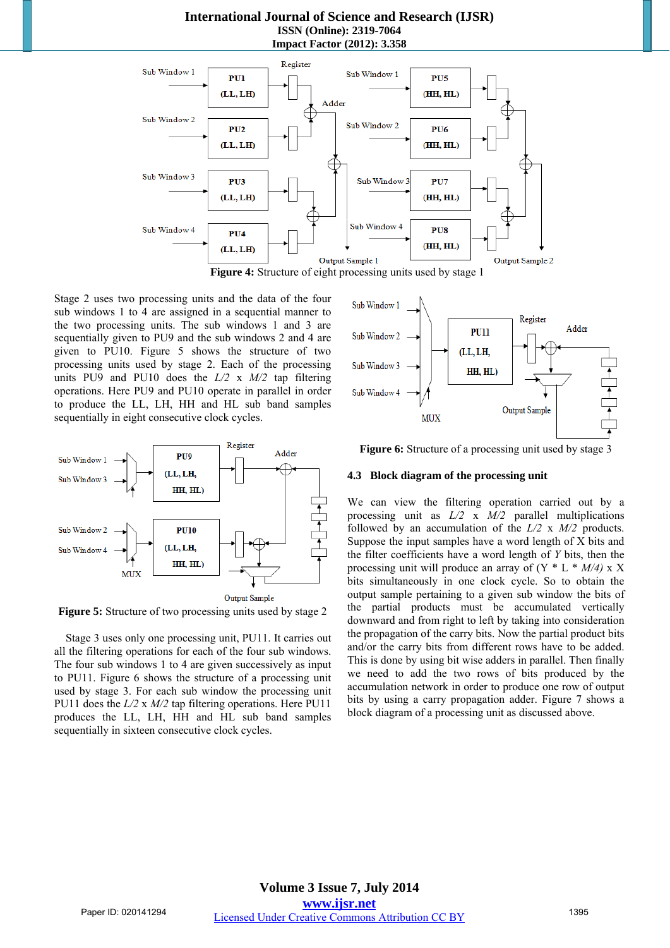### **International Journal of Science and Research (IJSR) ISSN (Online): 2319-7064 Impact Factor (2012): 3.358**



Sub Window 1

Sub Window 2

Sub Window 3

Sub Window 4

Stage 2 uses two processing units and the data of the four sub windows 1 to 4 are assigned in a sequential manner to the two processing units. The sub windows 1 and 3 are sequentially given to PU9 and the sub windows 2 and 4 are given to PU10. Figure 5 shows the structure of two processing units used by stage 2. Each of the processing units PU9 and PU10 does the *L/2* x *M/2* tap filtering operations. Here PU9 and PU10 operate in parallel in order to produce the LL, LH, HH and HL sub band samples sequentially in eight consecutive clock cycles.



**Figure 5:** Structure of two processing units used by stage 2

Stage 3 uses only one processing unit, PU11. It carries out all the filtering operations for each of the four sub windows. The four sub windows 1 to 4 are given successively as input to PU11. Figure 6 shows the structure of a processing unit used by stage 3. For each sub window the processing unit PU11 does the *L/2* x *M/2* tap filtering operations. Here PU11 produces the LL, LH, HH and HL sub band samples sequentially in sixteen consecutive clock cycles.

Figure 6: Structure of a processing unit used by stage 3

**PU11** 

HH. HL)

(LL, LH,

Register

**Output Sample** 

Adder

### **4.3 Block diagram of the processing unit**

**MUX** 

We can view the filtering operation carried out by a processing unit as *L/2* x *M/2* parallel multiplications followed by an accumulation of the *L/2* x *M/2* products. Suppose the input samples have a word length of X bits and the filter coefficients have a word length of *Y* bits, then the processing unit will produce an array of (Y \* L \* *M/4)* x X bits simultaneously in one clock cycle. So to obtain the output sample pertaining to a given sub window the bits of the partial products must be accumulated vertically downward and from right to left by taking into consideration the propagation of the carry bits. Now the partial product bits and/or the carry bits from different rows have to be added. This is done by using bit wise adders in parallel. Then finally we need to add the two rows of bits produced by the accumulation network in order to produce one row of output bits by using a carry propagation adder. Figure 7 shows a block diagram of a processing unit as discussed above.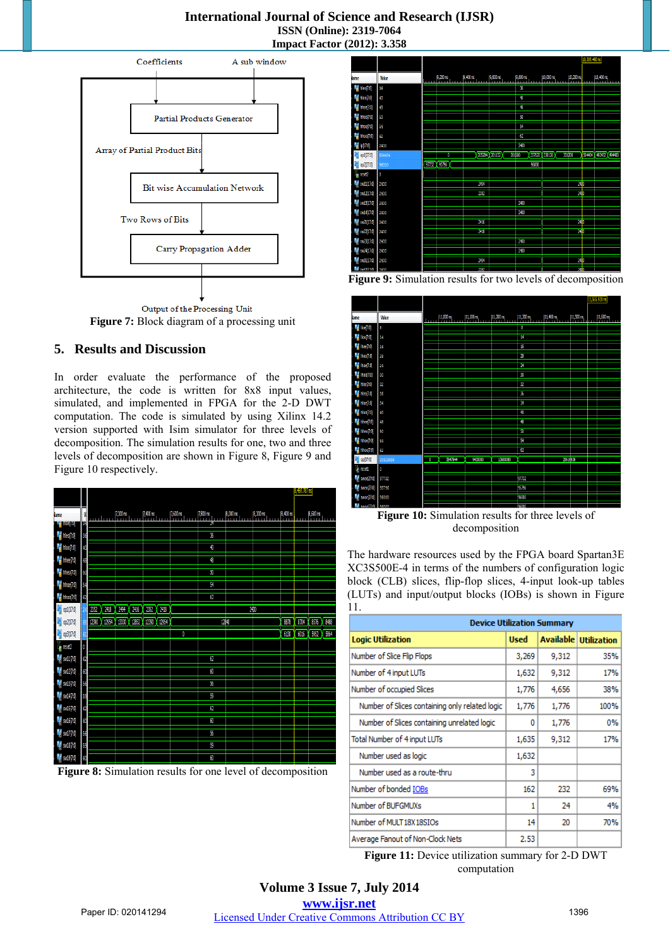### **International Journal of Science and Research (IJSR) ISSN (Online): 2319-7064 Impact Factor (2012): 3.358**



Output of the Processing Unit **Figure 7:** Block diagram of a processing unit

# **5. Results and Discussion**

In order evaluate the performance of the proposed architecture, the code is written for 8x8 input values, simulated, and implemented in FPGA for the 2-D DWT computation. The code is simulated by using Xilinx 14.2 version supported with Isim simulator for three levels of decomposition. The simulation results for one, two and three levels of decomposition are shown in Figure 8, Figure 9 and Figure 10 respectively.

|              |                                                |         |      |               |       |       |            |             |            |                          |                    |                    |          | 8,497.787 rs |                    |           |
|--------------|------------------------------------------------|---------|------|---------------|-------|-------|------------|-------------|------------|--------------------------|--------------------|--------------------|----------|--------------|--------------------|-----------|
| lame         |                                                | W<br>39 |      | $\frac{1}{2}$ |       |       | $7,400$ ns |             | $7,600$ ns | $7,800 \text{ ns}$<br>Y. | $8,000 \text{ ns}$ | $8,200 \text{ ns}$ | 8,400 ns | ш            | $8,600 \text{ ns}$ |           |
|              | <b>TENOCHAN</b><br>$\mathbb{F}_1$ hieo $[7.0]$ | 36      |      |               |       |       |            |             |            | 36                       |                    |                    |          |              |                    |           |
|              | $\mathbb{F}_2^4$ hloo(7:0)                     | 40      |      |               |       |       |            |             |            | 40                       |                    |                    |          |              |                    |           |
|              | $\frac{1}{2}$ hhee [7:0]                       | 48      |      |               |       |       |            |             |            | 48                       |                    |                    |          |              |                    |           |
|              | $\blacksquare$ hheo $[7:0]$                    | 50      |      |               |       |       |            |             |            | 90                       |                    |                    |          |              |                    |           |
|              | $\blacksquare$ hhoe [7:0]                      | 54      |      |               |       |       |            |             |            | Я                        |                    |                    |          |              |                    |           |
|              | $\frac{1}{2}$ hhoo(7.0)                        | 62      |      |               |       |       |            |             |            | 62                       |                    |                    |          |              |                    |           |
| ¥            | op1[17:0]                                      |         | 2352 | 2418          | 2494  | 2416  | 2352 2418  |             |            |                          |                    | $\frac{1}{2}$      |          |              |                    |           |
| $\mathbb{R}$ | op2[17:0]                                      |         |      | 12390 12954   | 13330 | 12852 |            | 12390 12954 |            |                          | 12840              |                    | 8878     | 8704         |                    | 8576 8488 |
| ¥            | op3[17:0]                                      |         |      |               |       |       |            |             | 0          |                          |                    |                    | 6130     | 6016         | 5952               | 5864      |
|              | $\mathbb{I}_{\mathbb{B}}$ reset2               | 0       |      |               |       |       |            |             |            |                          |                    |                    |          |              |                    |           |
|              | $\frac{1}{2}$ sw11[7:0]                        | 62      |      |               |       |       |            |             |            | 62                       |                    |                    |          |              |                    |           |
|              | $\frac{1}{2}$ sw12[7:0]                        | 60      |      |               |       |       |            |             |            | 60                       |                    |                    |          |              |                    |           |
|              | $\frac{1}{2}$ sw13[7.0]                        | 56      |      |               |       |       |            |             |            | 56                       |                    |                    |          |              |                    |           |
|              | $M$ sw14[7:0]                                  | 59      |      |               |       |       |            |             |            | Ø                        |                    |                    |          |              |                    |           |
|              | $M$ sw15[7:0]                                  | 62      |      |               |       |       |            |             |            | 62                       |                    |                    |          |              |                    |           |
|              | $\frac{1}{2}$ sw16[7:0]                        | 60      |      |               |       |       |            |             |            | 60                       |                    |                    |          |              |                    |           |
|              | $M$ sw17[7:0]                                  | 56      |      |               |       |       |            |             |            | 56                       |                    |                    |          |              |                    |           |
|              | $\frac{1}{2}$ sw18[7:0]                        | 59      |      |               |       |       |            |             |            | 9<br>60                  |                    |                    |          |              |                    |           |
|              | $\frac{1}{2}$ sw19[7.0]                        | 60      |      |               |       |       |            |             |            |                          |                    |                    |          |              |                    |           |

**Figure 8:** Simulation results for one level of decomposition



**Figure 9:** Simulation results for two levels of decomposition



**Figure 10:** Simulation results for three levels of decomposition

The hardware resources used by the FPGA board Spartan3E XC3S500E-4 in terms of the numbers of configuration logic block (CLB) slices, flip-flop slices, 4-input look-up tables (LUTs) and input/output blocks (IOBs) is shown in Figure 11.

|                                                | <b>Device Utilization Summary</b> |       |                              |  |  |
|------------------------------------------------|-----------------------------------|-------|------------------------------|--|--|
| <b>Logic Utilization</b>                       | <b>Used</b>                       |       | <b>Available Utilization</b> |  |  |
| Number of Slice Flip Flops                     | 3,269                             | 9,312 | 35%                          |  |  |
| Number of 4 input LUTs                         | 1,632                             | 9,312 | 17%                          |  |  |
| Number of occupied Slices                      | 1,776                             | 4,656 | 38%                          |  |  |
| Number of Slices containing only related logic | 1,776                             | 1,776 | 100%                         |  |  |
| Number of Slices containing unrelated logic    | 0                                 | 1,776 | 0%                           |  |  |
| Total Number of 4 input LUTs                   | 1,635                             | 9,312 | 17%                          |  |  |
| Number used as logic                           | 1,632                             |       |                              |  |  |
| Number used as a route-thru                    | 3                                 |       |                              |  |  |
| Number of bonded IOBs                          | 162                               | 232   | 69%                          |  |  |
| Number of BUFGMUXs                             | 1                                 | 24    | 4%                           |  |  |
| Number of MULT18X18SIOs                        | 14                                | 20    | 70%                          |  |  |
| Average Fanout of Non-Clock Nets               | 2.53                              |       |                              |  |  |

**Figure 11:** Device utilization summary for 2-D DWT computation